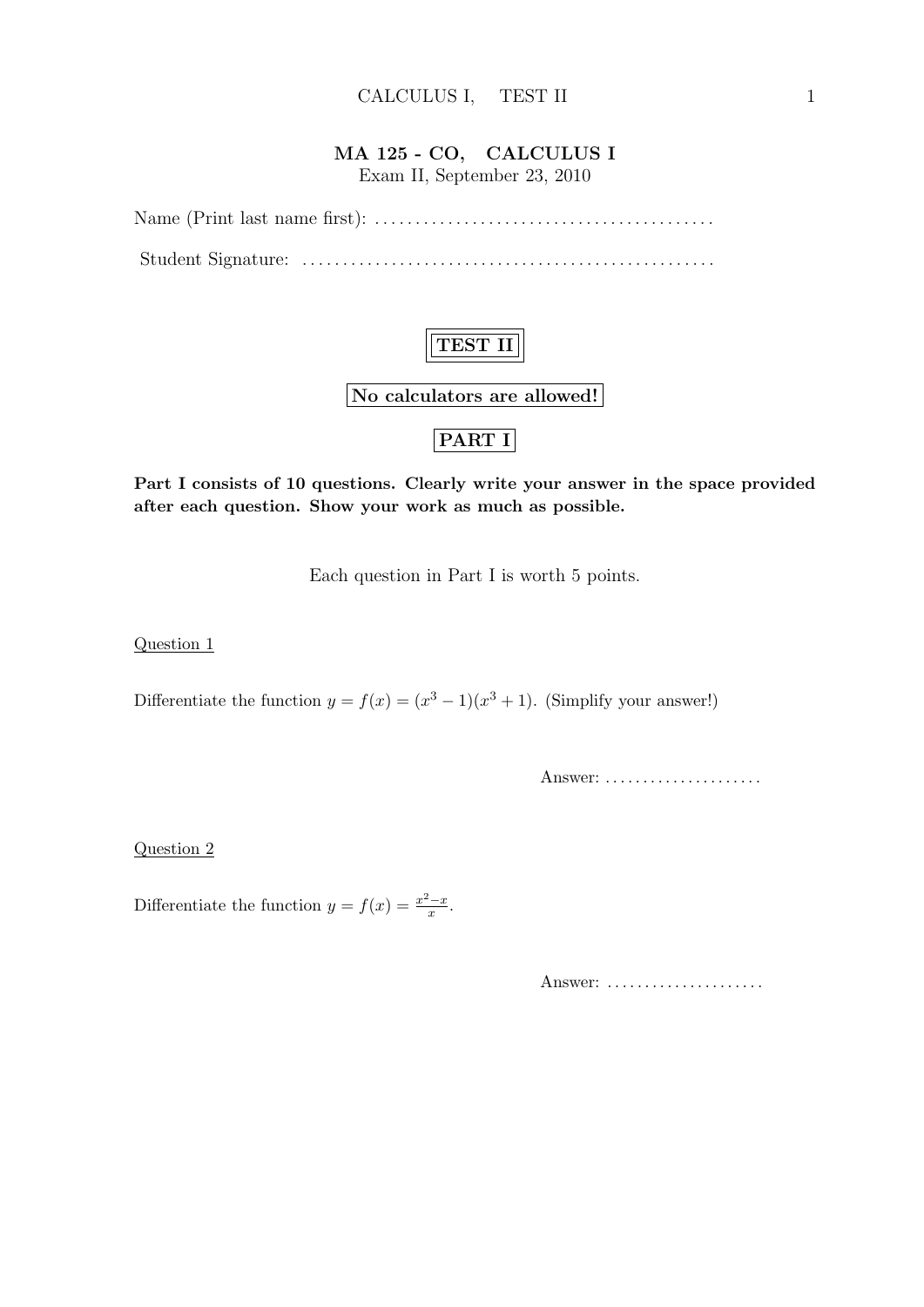## MA 125 - CO, CALCULUS I

Exam II, September 23, 2010

Name (Print last name first): . . . . . . . . . . . . . . . . . . . . . . . . . . . . . . . . . . . . . . . . . . Student Signature: . . . . . . . . . . . . . . . . . . . . . . . . . . . . . . . . . . . . . . . . . . . . . . . . . . .

# TEST II

No calculators are allowed!

## PART I

Part I consists of 10 questions. Clearly write your answer in the space provided after each question. Show your work as much as possible.

Each question in Part I is worth 5 points.

Question 1

Differentiate the function  $y = f(x) = (x^3 - 1)(x^3 + 1)$ . (Simplify your answer!)

Answer: ......................

Question 2

Differentiate the function  $y = f(x) = \frac{x^2 - x}{x}$  $\frac{y-x}{x}$ .

Answer: .....................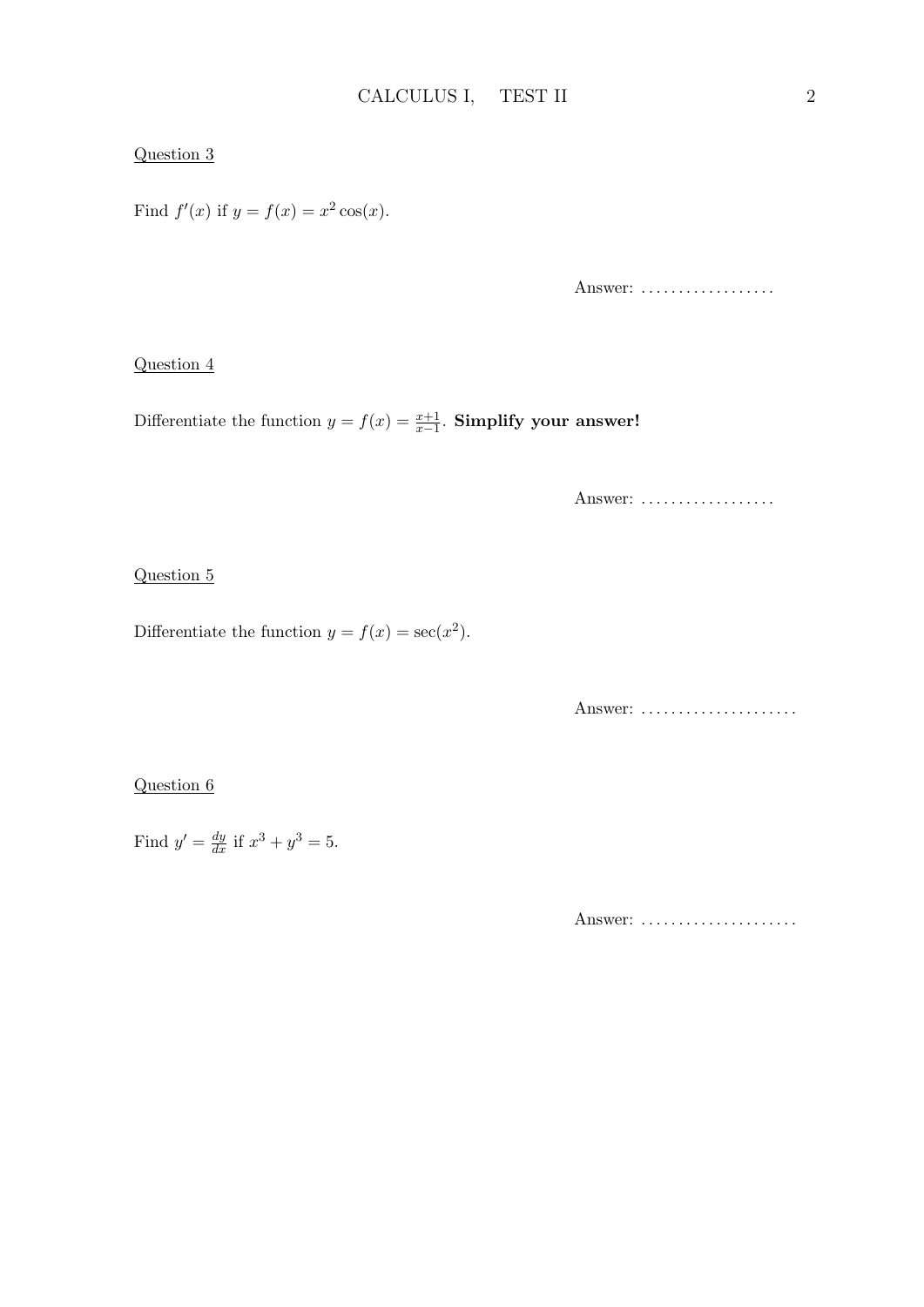### Question 3

Find  $f'(x)$  if  $y = f(x) = x^2 \cos(x)$ .

Answer: ..................

### Question 4

Differentiate the function  $y = f(x) = \frac{x+1}{x-1}$ . Simplify your answer!

Answer: ..................

### Question 5

Differentiate the function  $y = f(x) = \sec(x^2)$ .

Answer: ......................

### Question 6

Find  $y' = \frac{dy}{dx}$  if  $x^3 + y^3 = 5$ .

Answer: ......................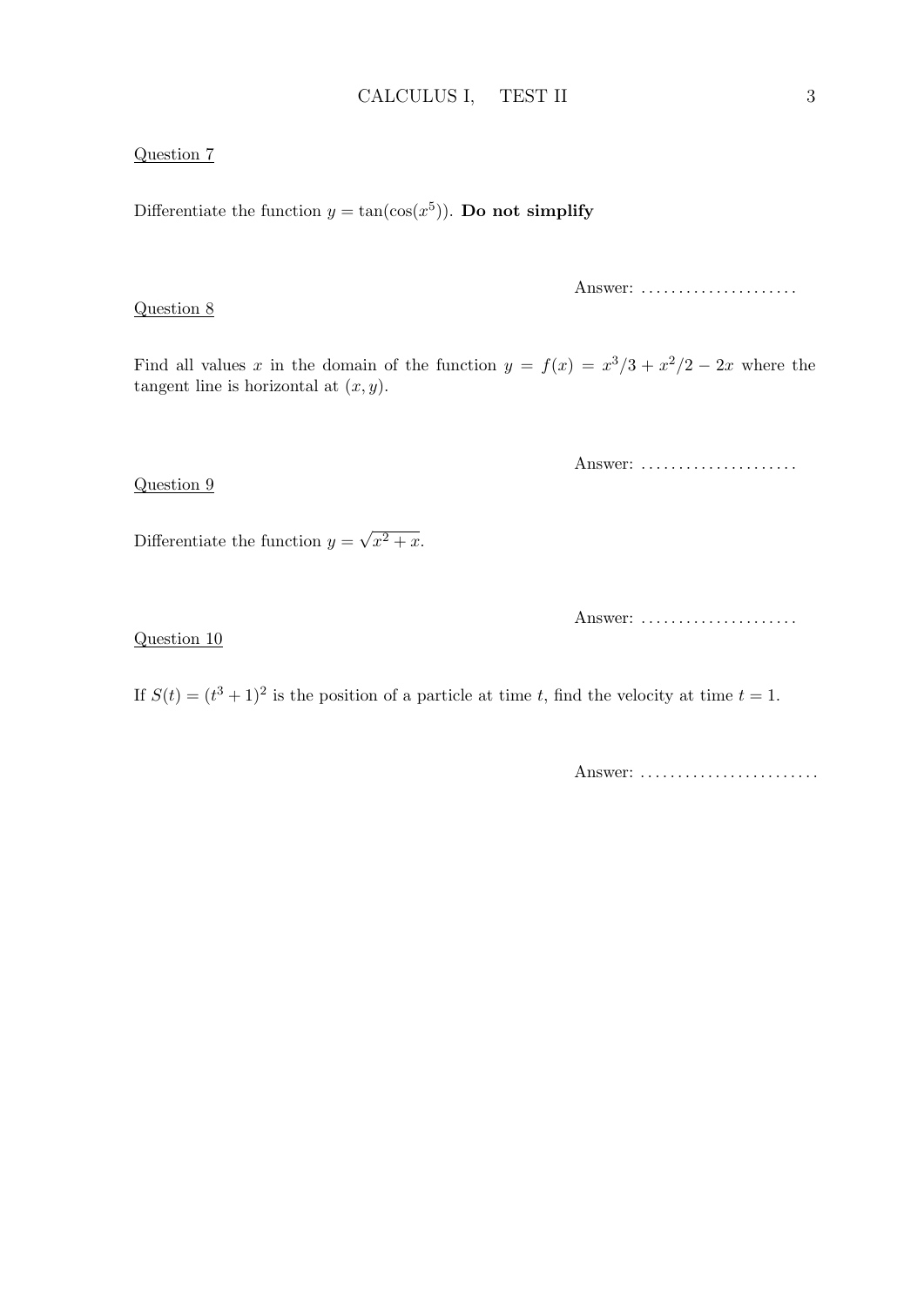### Question 7

Differentiate the function  $y = \tan(\cos(x^5))$ . Do not simplify

Question 8

Answer: ......................

Find all values x in the domain of the function  $y = f(x) = x^3/3 + x^2/2 - 2x$  where the tangent line is horizontal at  $(x, y)$ .

Answer: ......................

Differentiate the function  $y =$ √  $\overline{x^2+x}$ .

Answer: .....................

Question 10

Question 9

If  $S(t) = (t^3 + 1)^2$  is the position of a particle at time t, find the velocity at time  $t = 1$ .

Answer: .........................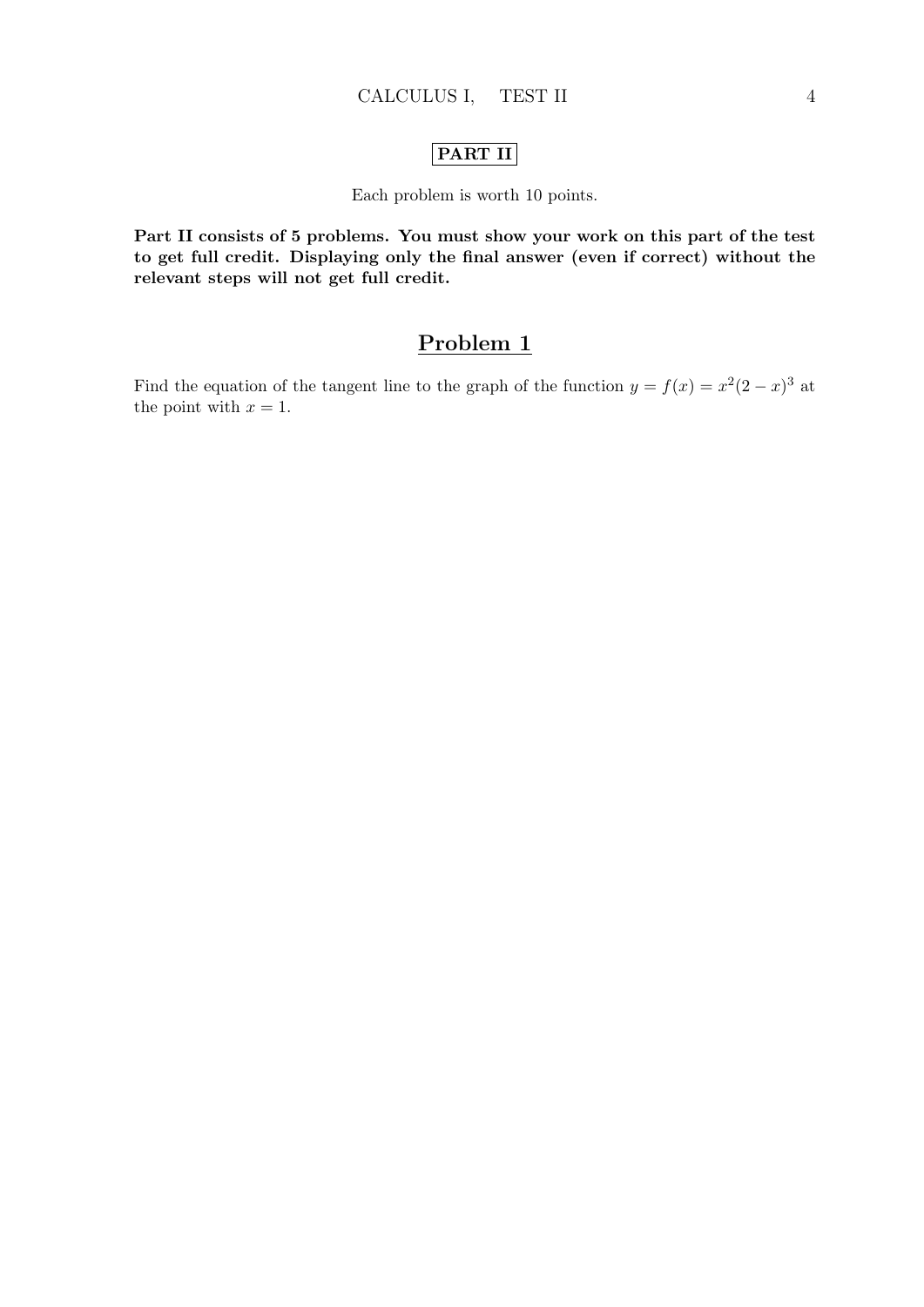## PART II

### Each problem is worth 10 points.

Part II consists of 5 problems. You must show your work on this part of the test to get full credit. Displaying only the final answer (even if correct) without the relevant steps will not get full credit.

## Problem 1

Find the equation of the tangent line to the graph of the function  $y = f(x) = x^2(2-x)^3$  at the point with  $x = 1$ .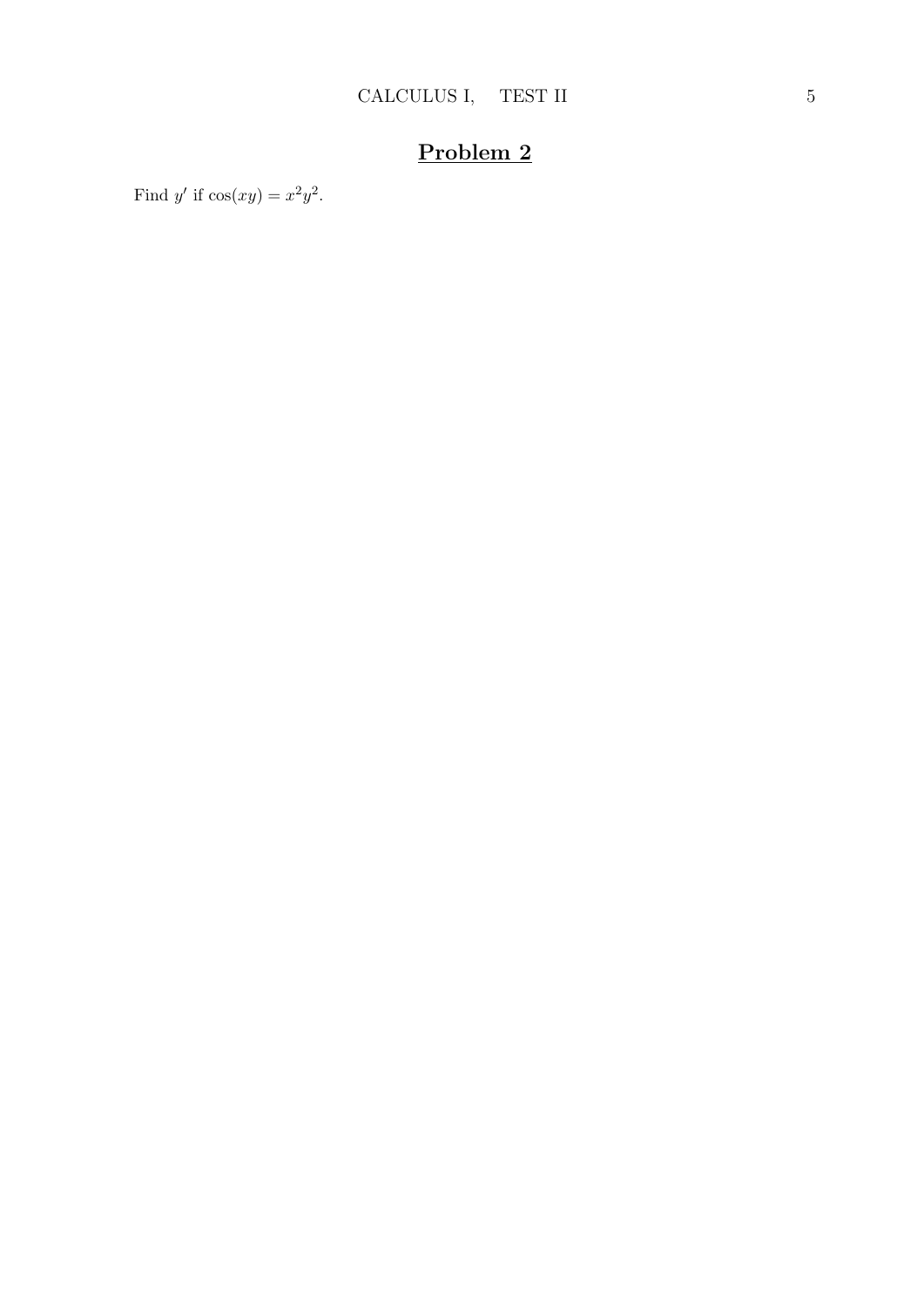Find y' if  $cos(xy) = x^2y^2$ .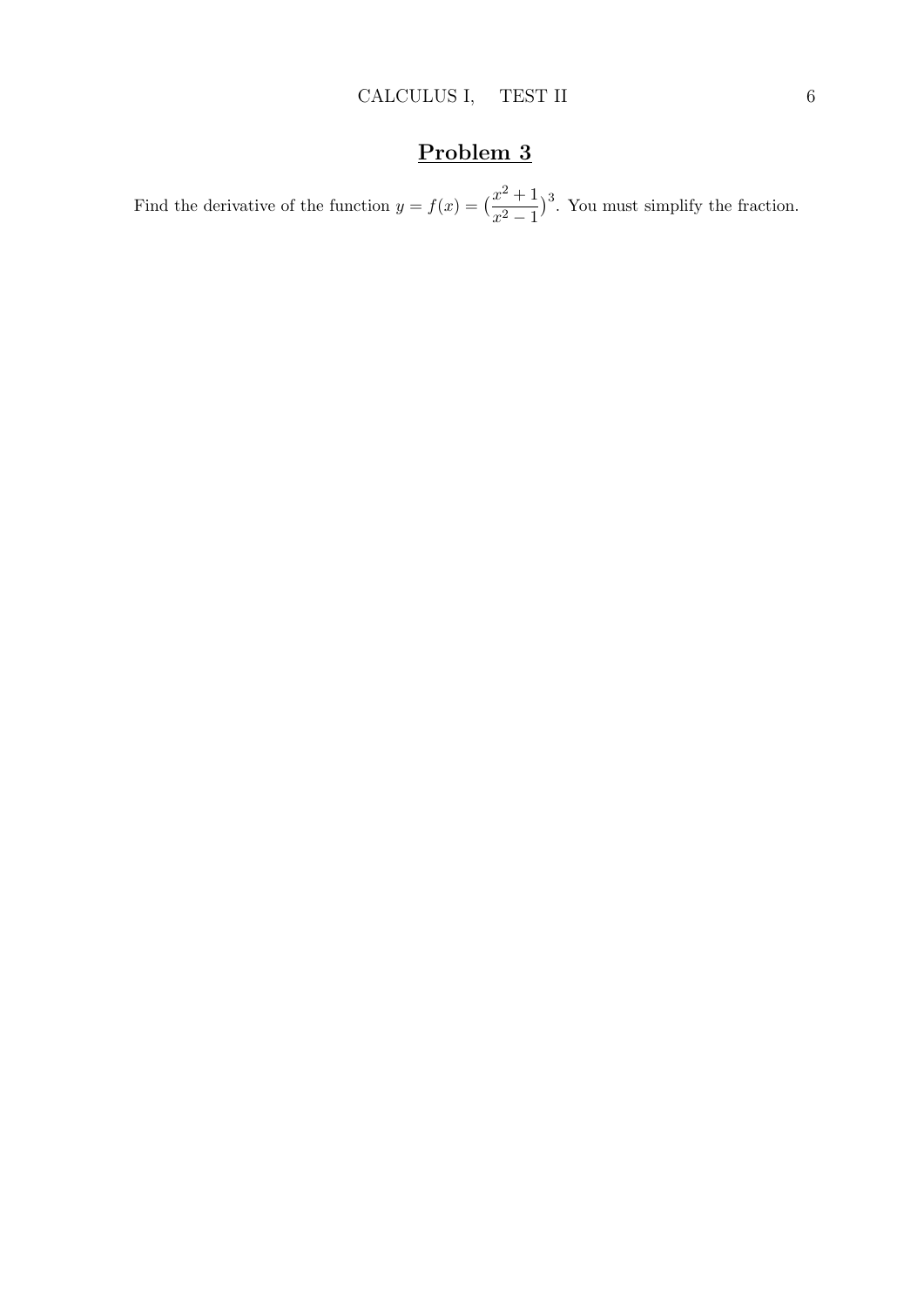Find the derivative of the function  $y = f(x) = \left(\frac{x^2 + 1}{2}\right)^2$  $x^2 - 1$ 3 . You must simplify the fraction.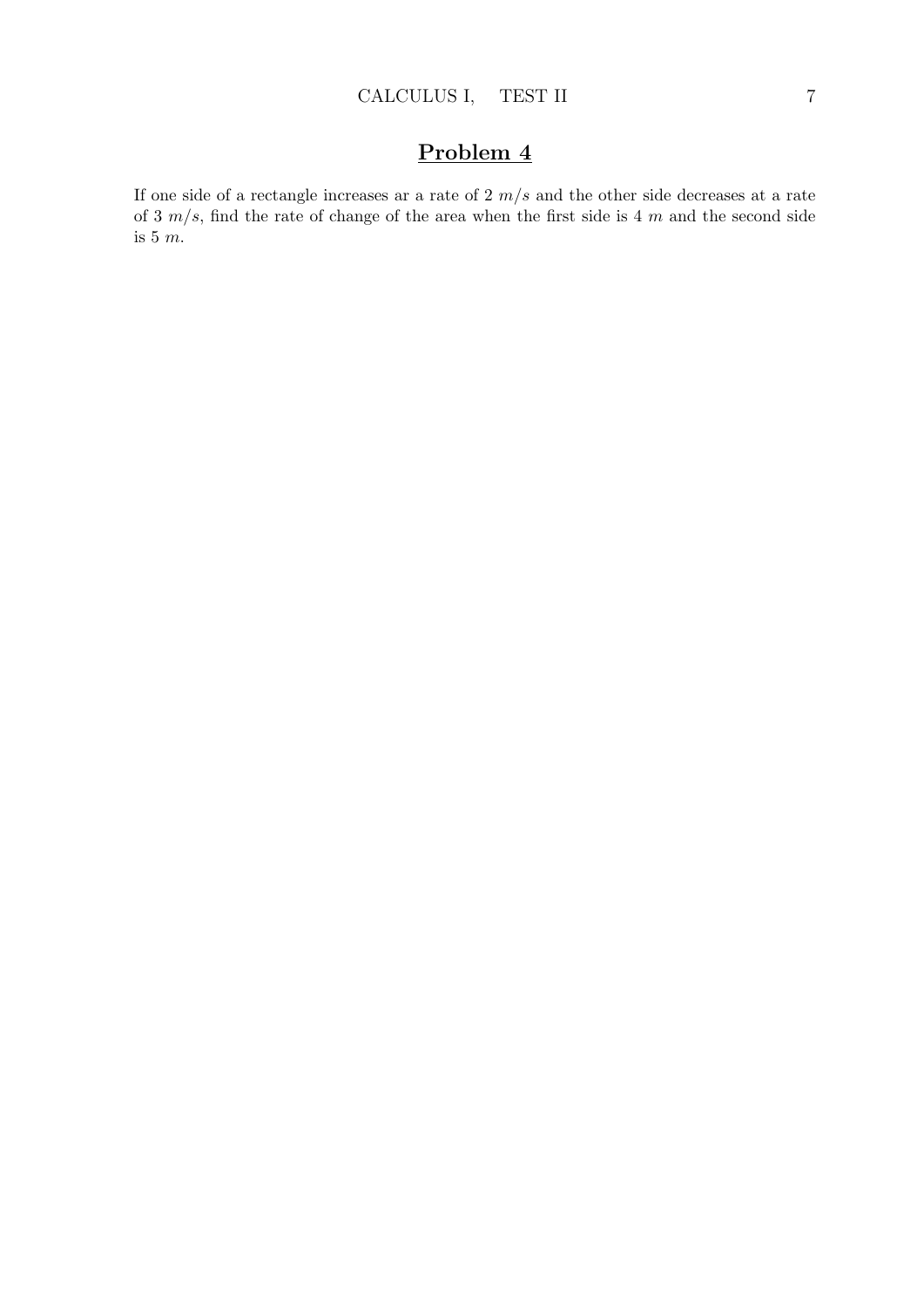If one side of a rectangle increases ar a rate of  $2 \, m/s$  and the other side decreases at a rate of 3  $m/s$ , find the rate of change of the area when the first side is 4 m and the second side is 5  $m.$